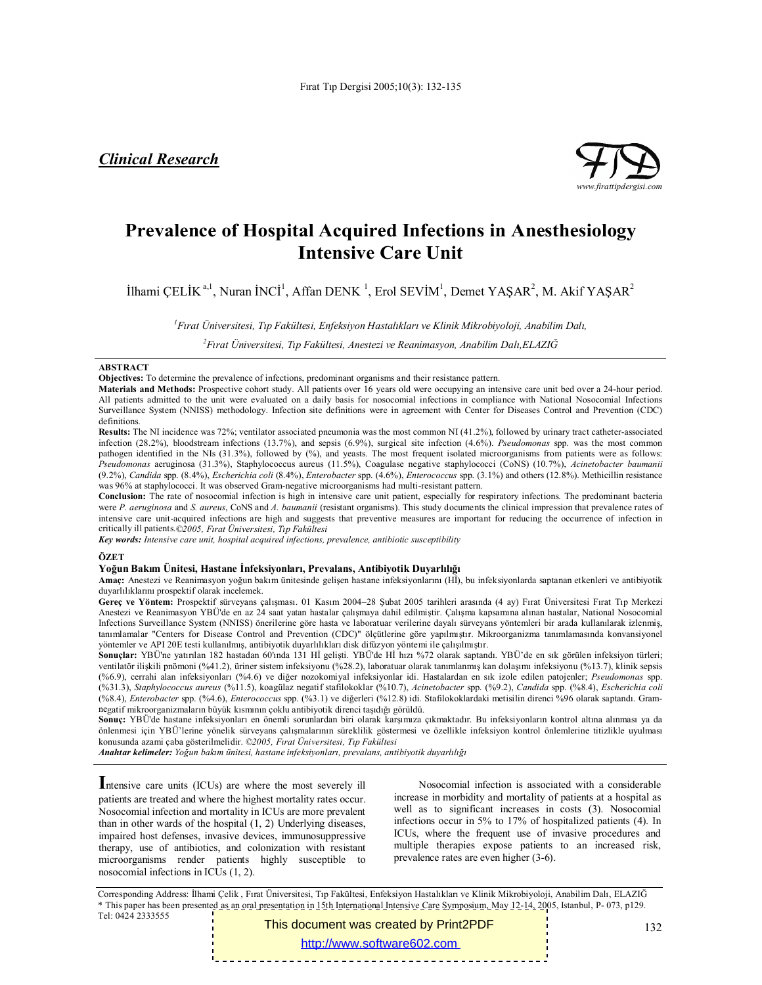*Clinical Research*



# **Prevalence of Hospital Acquired Infections in Anesthesiology Intensive Care Unit**

İlhami ÇELİK<sup>a, 1</sup>, Nuran İNCİ<sup>1</sup>, Affan DENK<sup>1</sup>, Erol SEVİM<sup>1</sup>, Demet YAŞAR<sup>2</sup>, M. Akif YAŞAR<sup>2</sup>

*1 Fırat Üniversitesi, Tıp Fakültesi, Enfeksiyon Hastalıkları ve Klinik Mikrobiyoloji, Anabilim Dalı,*

*2 Fırat Üniversitesi, Tıp Fakültesi, Anestezi ve Reanimasyon, Anabilim Dalı,ELAZIĞ*

### **ABSTRACT**

**Objectives:** To determine the prevalence of infections, predominant organisms and their resistance pattern.

**Materials and Methods:** Prospective cohort study. All patients over 16 years old were occupying an intensive care unit bed over a 24-hour period. All patients admitted to the unit were evaluated on a daily basis for nosocomial infections in compliance with National Nosocomial Infections Surveillance System (NNISS) methodology. Infection site definitions were in agreement with Center for Diseases Control and Prevention (CDC) definitions.

**Results:** The NI incidence was 72%; ventilator associated pneumonia was the most common NI (41.2%), followed by urinary tract catheter-associated infection (28.2%), bloodstream infections (13.7%), and sepsis (6.9%), surgical site infection (4.6%). *Pseudomonas* spp. was the most common pathogen identified in the NIs (31.3%), followed by (%), and yeasts. The most frequent isolated microorganisms from patients were as follows: *Pseudomonas* aeruginosa (31.3%), Staphylococcus aureus (11.5%), Coagulase negative staphylococci (CoNS) (10.7%), *Acinetobacter baumanii*  (9.2%), *Candida* spp. (8.4%), *Escherichia coli* (8.4%), *Enterobacter* spp. (4.6%), *Enterococcus* spp. (3.1%) and others (12.8%). Methicillin resistance was 96% at staphylococci. It was observed Gram-negative microorganisms had multi-resistant pattern.

**Conclusion:** The rate of nosocomial infection is high in intensive care unit patient, especially for respiratory infections. The predominant bacteria were *P. aeruginosa* and *S. aureus*, CoNS and *A. baumanii* (resistant organisms). This study documents the clinical impression that prevalence rates of intensive care unit-acquired infections are high and suggests that preventive measures are important for reducing the occurrence of infection in critically ill patients.*©2005, Fırat Üniversitesi, Tıp Fakültesi*

*Key words: Intensive care unit, hospital acquired infections, prevalence, antibiotic susceptibility*

**ÖZET**

#### **Yoğun Bakım Ünitesi, Hastane İnfeksiyonları, Prevalans, Antibiyotik Duyarlılığı**

**Amaç:** Anestezi ve Reanimasyon yoğun bakım ünitesinde gelişen hastane infeksiyonlarını (Hİ), bu infeksiyonlarda saptanan etkenleri ve antibiyotik duyarlılıklarını prospektif olarak incelemek.

**Gereç ve Yöntem:** Prospektif sürveyans çalışması. 01 Kasım 2004–28 Şubat 2005 tarihleri arasında (4 ay) Fırat Üniversitesi Fırat Tıp Merkezi Anestezi ve Reanimasyon YBÜ'de en az 24 saat yatan hastalar çalışmaya dahil edilmiştir. Çalışma kapsamına alınan hastalar, National Nosocomial Infections Surveillance System (NNISS) önerilerine göre hasta ve laboratuar verilerine dayalı sürveyans yöntemleri bir arada kullanılarak izlenmiş, tanımlamalar "Centers for Disease Control and Prevention (CDC)" ölçütlerine göre yapılmıştır. Mikroorganizma tanımlamasında konvansiyonel yöntemler ve API 20E testi kullanılmış, antibiyotik duyarlılıkları disk difüzyon yöntemi ile çalışılmıştır.

**Sonuçlar:** YBÜ'ne yatırılan 182 hastadan 60'ında 131 Hİ gelişti. YBÜ'de Hİ hızı %72 olarak saptandı. YBÜ'de en sık görülen infeksiyon türleri; ventilatör ilişkili pnömoni (%41.2), üriner sistem infeksiyonu (%28.2), laboratuar olarak tanımlanmış kan dolaşımı infeksiyonu (%13.7), klinik sepsis (%6.9), cerrahi alan infeksiyonları (%4.6) ve diğer nozokomiyal infeksiyonlar idi. Hastalardan en sık izole edilen patojenler; *Pseudomonas* spp. (%31.3), *Staphylococcus aureus* (%11.5), koagülaz negatif stafilokoklar (%10.7), *Acinetobacter* spp. (%9.2), *Candida* spp. (%8.4), *Escherichia coli* (%8.4), *Enterobacter* spp. (%4.6), *Enterococcus* spp. (%3.1) ve diğerleri (%12.8) idi. Stafilokoklardaki metisilin direnci %96 olarak saptandı. Gramnegatif mikroorganizmaların büyük kısmının çoklu antibiyotik direnci taşıdığı görüldü.

**Sonuç:** YBÜ'de hastane infeksiyonları en önemli sorunlardan biri olarak karşımıza çıkmaktadır. Bu infeksiyonların kontrol altına alınması ya da önlenmesi için YBÜ'lerine yönelik sürveyans çalışmalarının süreklilik göstermesi ve özellikle infeksiyon kontrol önlemlerine titizlikle uyulması konusunda azami çaba gösterilmelidir. *©2005, Fırat Üniversitesi, Tıp Fakültesi*

*Anahtar kelimeler: Yoğun bakım ünitesi, hastane infeksiyonları, prevalans, antibiyotik duyarlılığı*

**I**ntensive care units (ICUs) are where the most severely ill patients are treated and where the highest mortality rates occur. Nosocomial infection and mortality in ICUs are more prevalent than in other wards of the hospital (1, 2) Underlying diseases, impaired host defenses, invasive devices, immunosuppressive therapy, use of antibiotics, and colonization with resistant microorganisms render patients highly susceptible to nosocomial infections in ICUs (1, 2).

Nosocomial infection is associated with a considerable increase in morbidity and mortality of patients at a hospital as well as to significant increases in costs (3). Nosocomial infections occur in 5% to 17% of hospitalized patients (4). In ICUs, where the frequent use of invasive procedures and multiple therapies expose patients to an increased risk, prevalence rates are even higher (3-6).

Corresponding Address: İlhami Çelik , Fırat Üniversitesi, Tıp Fakültesi, Enfeksiyon Hastalıkları ve Klinik Mikrobiyoloji, Anabilim Dalı, ELAZIĞ \* This paper has been presented as an oral presentation in 15th International Intensive Care Symposium, May 12-14, 2005, Istanbul, P- 073, p129. Tel: 0424 2333555

This document was created by Print2PDF <http://www.software602.com>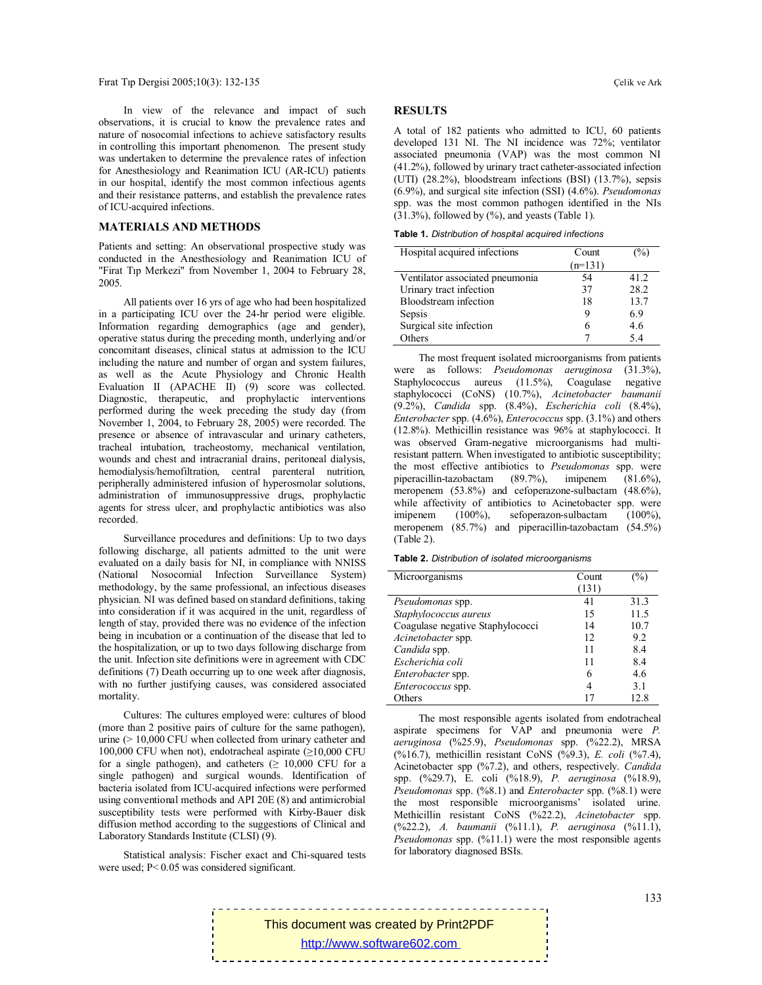In view of the relevance and impact of such observations, it is crucial to know the prevalence rates and nature of nosocomial infections to achieve satisfactory results in controlling this important phenomenon. The present study was undertaken to determine the prevalence rates of infection for Anesthesiology and Reanimation ICU (AR-ICU) patients in our hospital, identify the most common infectious agents and their resistance patterns, and establish the prevalence rates of ICU-acquired infections.

## **MATERIALS AND METHODS**

Patients and setting: An observational prospective study was conducted in the Anesthesiology and Reanimation ICU of "Firat Tıp Merkezi" from November 1, 2004 to February 28, 2005.

All patients over 16 yrs of age who had been hospitalized in a participating ICU over the 24-hr period were eligible. Information regarding demographics (age and gender), operative status during the preceding month, underlying and/or concomitant diseases, clinical status at admission to the ICU including the nature and number of organ and system failures, as well as the Acute Physiology and Chronic Health Evaluation II (APACHE II) (9) score was collected. Diagnostic, therapeutic, and prophylactic interventions performed during the week preceding the study day (from November 1, 2004, to February 28, 2005) were recorded. The presence or absence of intravascular and urinary catheters, tracheal intubation, tracheostomy, mechanical ventilation, wounds and chest and intracranial drains, peritoneal dialysis, hemodialysis/hemofiltration, central parenteral nutrition, peripherally administered infusion of hyperosmolar solutions, administration of immunosuppressive drugs, prophylactic agents for stress ulcer, and prophylactic antibiotics was also recorded.

Surveillance procedures and definitions: Up to two days following discharge, all patients admitted to the unit were evaluated on a daily basis for NI, in compliance with NNISS (National Nosocomial Infection Surveillance System) methodology, by the same professional, an infectious diseases physician. NI was defined based on standard definitions, taking into consideration if it was acquired in the unit, regardless of length of stay, provided there was no evidence of the infection being in incubation or a continuation of the disease that led to the hospitalization, or up to two days following discharge from the unit. Infection site definitions were in agreement with CDC definitions (7) Death occurring up to one week after diagnosis, with no further justifying causes, was considered associated mortality.

Cultures: The cultures employed were: cultures of blood (more than 2 positive pairs of culture for the same pathogen), urine (> 10,000 CFU when collected from urinary catheter and 100,000 CFU when not), endotracheal aspirate (≥10,000 CFU for a single pathogen), and catheters  $(≥ 10,000$  CFU for a single pathogen) and surgical wounds. Identification of bacteria isolated from ICU-acquired infections were performed using conventional methods and API 20E (8) and antimicrobial susceptibility tests were performed with Kirby-Bauer disk diffusion method according to the suggestions of Clinical and Laboratory Standards Institute (CLSI) (9).

Statistical analysis: Fischer exact and Chi-squared tests were used; P< 0.05 was considered significant.

#### **RESULTS**

A total of 182 patients who admitted to ICU, 60 patients developed 131 NI. The NI incidence was 72%; ventilator associated pneumonia (VAP) was the most common NI (41.2%), followed by urinary tract catheter-associated infection (UTI) (28.2%), bloodstream infections (BSI) (13.7%), sepsis (6.9%), and surgical site infection (SSI) (4.6%). *Pseudomonas* spp. was the most common pathogen identified in the NIs  $(31.3\%)$ , followed by  $(\%)$ , and yeasts (Table 1).

**Table 1.** *Distribution of hospital acquired infections*

| Hospital acquired infections    | Count     | $\frac{1}{2}$ |
|---------------------------------|-----------|---------------|
|                                 | $(n=131)$ |               |
| Ventilator associated pneumonia | 54        | 41 2          |
| Urinary tract infection         | 37        | 28.2          |
| Bloodstream infection           | 18        | 13.7          |
| Sepsis                          | 9         | 6.9           |
| Surgical site infection         | 6         | 4.6           |
| Others                          |           | 5.4           |

The most frequent isolated microorganisms from patients were as follows: *Pseudomonas aeruginosa* (31.3%), Staphylococcus aureus (11.5%), Coagulase negative staphylococci (CoNS) (10.7%), *Acinetobacter baumanii*  (9.2%), *Candida* spp. (8.4%), *Escherichia coli* (8.4%), *Enterobacter* spp. (4.6%), *Enterococcus* spp. (3.1%) and others (12.8%). Methicillin resistance was 96% at staphylococci. It was observed Gram-negative microorganisms had multiresistant pattern. When investigated to antibiotic susceptibility; the most effective antibiotics to *Pseudomonas* spp. were piperacillin-tazobactam (89.7%), imipenem (81.6%), meropenem (53.8%) and cefoperazone-sulbactam (48.6%), while affectivity of antibiotics to Acinetobacter spp. were imipenem (100%), sefoperazon-sulbactam (100%), meropenem (85.7%) and piperacillin-tazobactam (54.5%) (Table 2).

| Table 2. Distribution of isolated microorganisms |  |  |
|--------------------------------------------------|--|--|
|                                                  |  |  |

| Microorganisms                   | Count | $\%$ |
|----------------------------------|-------|------|
|                                  | (131) |      |
| Pseudomonas spp.                 | 41    | 31.3 |
| Staphylococcus aureus            | 15    | 11.5 |
| Coagulase negative Staphylococci | 14    | 10.7 |
| Acinetobacter spp.               | 12    | 9.2  |
| Candida spp.                     | 11    | 8.4  |
| Escherichia coli                 | 11    | 8.4  |
| Enterobacter spp.                | 6     | 4.6  |
| Enterococcus spp.                | 4     | 3.1  |
| Others                           |       | 12.8 |

The most responsible agents isolated from endotracheal aspirate specimens for VAP and pneumonia were *P. aeruginosa* (%25.9), *Pseudomonas* spp. (%22.2), MRSA (%16.7), methicillin resistant CoNS (%9.3), *E. coli* (%7.4), Acinetobacter spp (%7.2), and others, respectively. *Candida* spp. (%29.7), E. coli (%18.9), *P. aeruginosa* (%18.9), *Pseudomonas* spp. (%8.1) and *Enterobacter* spp. (%8.1) were the most responsible microorganisms' isolated urine. Methicillin resistant CoNS (%22.2), *Acinetobacter* spp. (%22.2), *A. baumanii* (%11.1), *P. aeruginosa* (%11.1), *Pseudomonas* spp. (%11.1) were the most responsible agents for laboratory diagnosed BSIs.

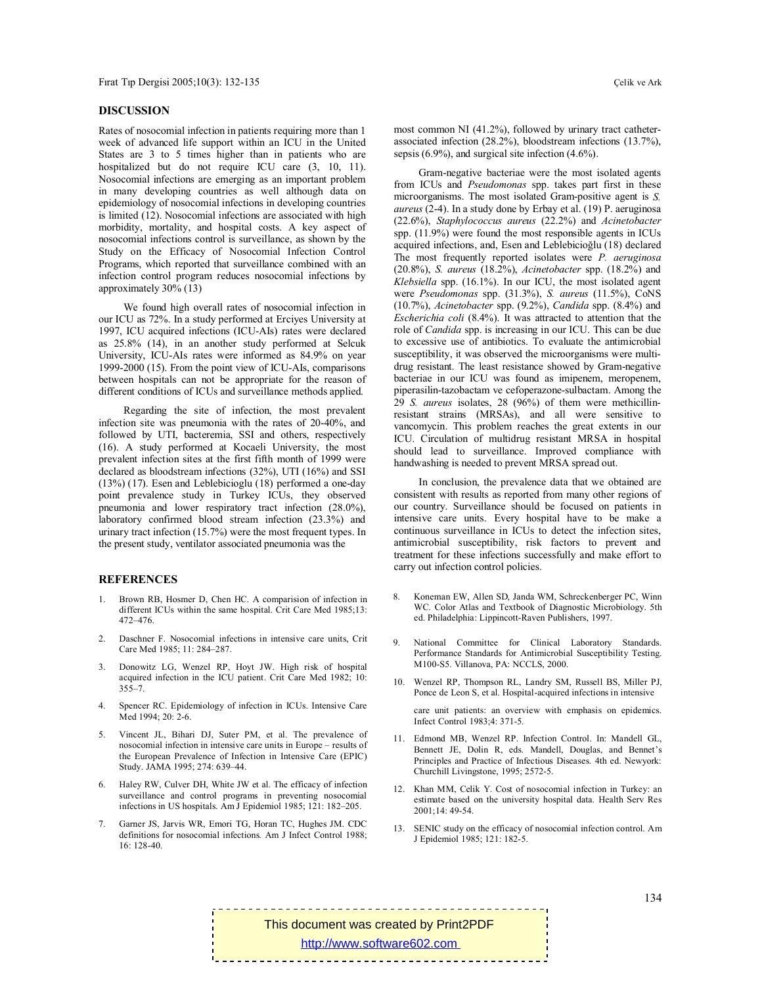#### **DISCUSSION**

Rates of nosocomial infection in patients requiring more than 1 week of advanced life support within an ICU in the United States are 3 to 5 times higher than in patients who are hospitalized but do not require ICU care  $(3, 10, 11)$ . Nosocomial infections are emerging as an important problem in many developing countries as well although data on epidemiology of nosocomial infections in developing countries is limited (12). Nosocomial infections are associated with high morbidity, mortality, and hospital costs. A key aspect of nosocomial infections control is surveillance, as shown by the Study on the Efficacy of Nosocomial Infection Control Programs, which reported that surveillance combined with an infection control program reduces nosocomial infections by approximately 30% (13)

We found high overall rates of nosocomial infection in our ICU as 72%. In a study performed at Erciyes University at 1997, ICU acquired infections (ICU-AIs) rates were declared as 25.8% (14), in an another study performed at Selcuk University, ICU-AIs rates were informed as 84.9% on year 1999-2000 (15). From the point view of ICU-AIs, comparisons between hospitals can not be appropriate for the reason of different conditions of ICUs and surveillance methods applied.

Regarding the site of infection, the most prevalent infection site was pneumonia with the rates of 20-40%, and followed by UTI, bacteremia, SSI and others, respectively (16). A study performed at Kocaeli University, the most prevalent infection sites at the first fifth month of 1999 were declared as bloodstream infections (32%), UTI (16%) and SSI (13%) (17). Esen and Leblebicioglu (18) performed a one-day point prevalence study in Turkey ICUs, they observed pneumonia and lower respiratory tract infection (28.0%), laboratory confirmed blood stream infection (23.3%) and urinary tract infection (15.7%) were the most frequent types. In the present study, ventilator associated pneumonia was the

#### **REFERENCES**

- 1. Brown RB, Hosmer D, Chen HC. A comparision of infection in different ICUs within the same hospital. Crit Care Med 1985;13: 472–476.
- 2. Daschner F. Nosocomial infections in intensive care units, Crit Care Med 1985; 11: 284–287.
- 3. Donowitz LG, Wenzel RP, Hoyt JW. High risk of hospital acquired infection in the ICU patient. Crit Care Med 1982; 10: 355–7.
- 4. Spencer RC. Epidemiology of infection in ICUs. Intensive Care Med 1994; 20: 2-6.
- 5. Vincent JL, Bihari DJ, Suter PM, et al. The prevalence of nosocomial infection in intensive care units in Europe – results of the European Prevalence of Infection in Intensive Care (EPIC) Study. JAMA 1995; 274: 639–44.
- 6. Haley RW, Culver DH, White JW et al. The efficacy of infection surveillance and control programs in preventing nosocomial infections in US hospitals. Am J Epidemiol 1985; 121: 182–205.
- 7. Garner JS, Jarvis WR, Emori TG, Horan TC, Hughes JM. CDC definitions for nosocomial infections. Am J Infect Control 1988;  $16: 128-40.$

most common NI (41.2%), followed by urinary tract catheterassociated infection (28.2%), bloodstream infections (13.7%), sepsis (6.9%), and surgical site infection (4.6%).

Gram-negative bacteriae were the most isolated agents from ICUs and *Pseudomonas* spp. takes part first in these microorganisms. The most isolated Gram-positive agent is *S. aureus* (2-4). In a study done by Erbay et al. (19) P. aeruginosa (22.6%), *Staphylococcus aureus* (22.2%) and *Acinetobacter*  spp. (11.9%) were found the most responsible agents in ICUs acquired infections, and, Esen and Leblebicioğlu (18) declared The most frequently reported isolates were *P. aeruginosa* (20.8%), *S. aureus* (18.2%), *Acinetobacter* spp. (18.2%) and *Klebsiella* spp. (16.1%). In our ICU, the most isolated agent were *Pseudomonas* spp. (31.3%), *S. aureus* (11.5%), CoNS (10.7%), *Acinetobacter* spp. (9.2%), *Candida* spp. (8.4%) and *Escherichia coli* (8.4%). It was attracted to attention that the role of *Candida* spp. is increasing in our ICU. This can be due to excessive use of antibiotics. To evaluate the antimicrobial susceptibility, it was observed the microorganisms were multidrug resistant. The least resistance showed by Gram-negative bacteriae in our ICU was found as imipenem, meropenem, piperasilin-tazobactam ve cefoperazone-sulbactam. Among the 29 *S. aureus* isolates, 28 (96%) of them were methicillinresistant strains (MRSAs), and all were sensitive to vancomycin. This problem reaches the great extents in our ICU. Circulation of multidrug resistant MRSA in hospital should lead to surveillance. Improved compliance with handwashing is needed to prevent MRSA spread out.

In conclusion, the prevalence data that we obtained are consistent with results as reported from many other regions of our country. Surveillance should be focused on patients in intensive care units. Every hospital have to be make a continuous surveillance in ICUs to detect the infection sites, antimicrobial susceptibility, risk factors to prevent and treatment for these infections successfully and make effort to carry out infection control policies.

- 8. Koneman EW, Allen SD, Janda WM, Schreckenberger PC, Winn WC. Color Atlas and Textbook of Diagnostic Microbiology. 5th ed. Philadelphia: Lippincott-Raven Publishers, 1997.
- 9. National Committee for Clinical Laboratory Standards. Performance Standards for Antimicrobial Susceptibility Testing. M100-S5. Villanova, PA: NCCLS, 2000.
- 10. Wenzel RP, Thompson RL, Landry SM, Russell BS, Miller PJ, Ponce de Leon S, et al. Hospital-acquired infections in intensive

care unit patients: an overview with emphasis on epidemics. Infect Control 1983;4: 371-5.

- 11. Edmond MB, Wenzel RP. Infection Control. In: Mandell GL, Bennett JE, Dolin R, eds. Mandell, Douglas, and Bennet's Principles and Practice of Infectious Diseases. 4th ed. Newyork: Churchill Livingstone, 1995; 2572-5.
- 12. Khan MM, Celik Y. Cost of nosocomial infection in Turkey: an estimate based on the university hospital data. Health Serv Res 2001;14: 49-54.
- 13. SENIC study on the efficacy of nosocomial infection control. Am J Epidemiol 1985; 121: 182-5.

This document was created by Print2PDF